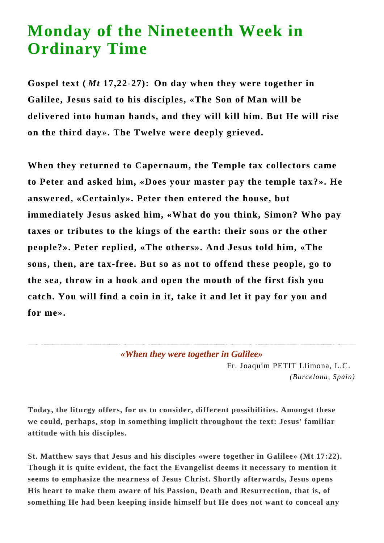## **Monday of the Nineteenth Week in Ordinary Time**

**Gospel text (** *Mt* **17,22-27): On day when they were together in Galilee, Jesus said to his disciples, «The Son of Man will be delivered into human hands, and they will kill him. But He will rise on the third day». The Twelve were deeply grieved.** 

**When they returned to Capernaum, the Temple tax collectors came to Peter and asked him, «Does your master pay the temple tax?». He answered, «Certainly». Peter then entered the house, but immediately Jesus asked him, «What do you think, Simon? Who pay taxes or tributes to the kings of the earth: their sons or the other people?». Peter replied, «The others». And Jesus told him, «The sons, then, are tax-free. But so as not to offend these people, go to the sea, throw in a hook and open the mouth of the first fish you catch. You will find a coin in it, take it and let it pay for you and for me».**

*«When they were together in Galilee»*

Fr. Joaquim PETIT Llimona, L.C. *(Barcelona, Spain)*

**Today, the liturgy offers, for us to consider, different possibilities. Amongst these we could, perhaps, stop in something implicit throughout the text: Jesus' familiar attitude with his disciples.**

**St. Matthew says that Jesus and his disciples «were together in Galilee» (Mt 17:22). Though it is quite evident, the fact the Evangelist deems it necessary to mention it seems to emphasize the nearness of Jesus Christ. Shortly afterwards, Jesus opens His heart to make them aware of his Passion, Death and Resurrection, that is, of something He had been keeping inside himself but He does not want to conceal any**